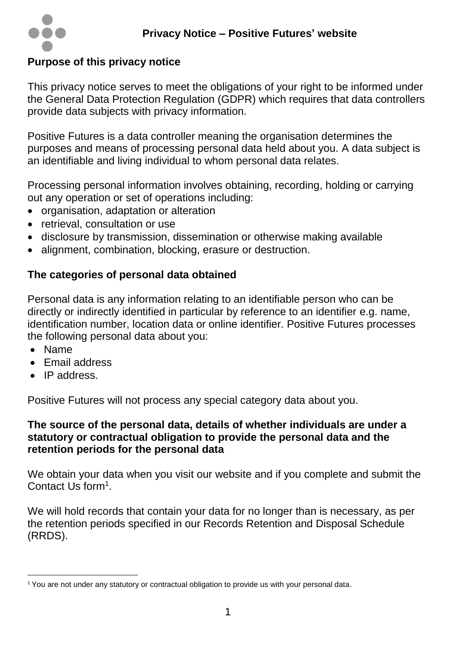

# **Purpose of this privacy notice**

This privacy notice serves to meet the obligations of your right to be informed under the General Data Protection Regulation (GDPR) which requires that data controllers provide data subjects with privacy information.

Positive Futures is a data controller meaning the organisation determines the purposes and means of processing personal data held about you. A data subject is an identifiable and living individual to whom personal data relates.

Processing personal information involves obtaining, recording, holding or carrying out any operation or set of operations including:

- organisation, adaptation or alteration
- retrieval, consultation or use
- disclosure by transmission, dissemination or otherwise making available
- alignment, combination, blocking, erasure or destruction.

# **The categories of personal data obtained**

Personal data is any information relating to an identifiable person who can be directly or indirectly identified in particular by reference to an identifier e.g. name, identification number, location data or online identifier. Positive Futures processes the following personal data about you:

- Name
- Email address
- IP address.

Positive Futures will not process any special category data about you.

#### **The source of the personal data, details of whether individuals are under a statutory or contractual obligation to provide the personal data and the retention periods for the personal data**

We obtain your data when you visit our website and if you complete and submit the Contact Us form<sup>1</sup>.

We will hold records that contain your data for no longer than is necessary, as per the retention periods specified in our Records Retention and Disposal Schedule (RRDS).

 $\overline{a}$ <sup>1</sup> You are not under any statutory or contractual obligation to provide us with your personal data.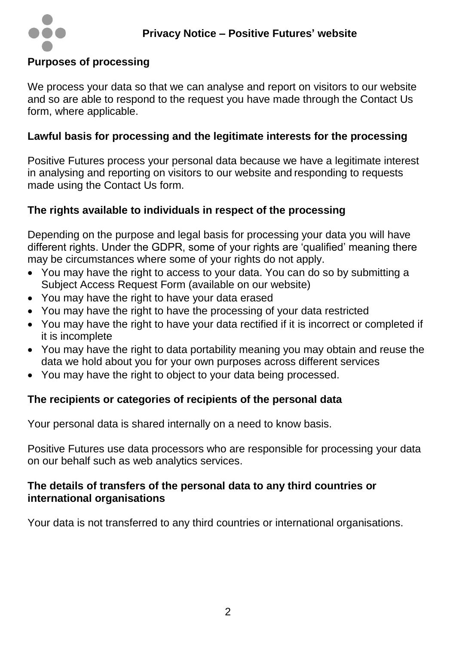

### **Purposes of processing**

We process your data so that we can analyse and report on visitors to our website and so are able to respond to the request you have made through the Contact Us form, where applicable.

## **Lawful basis for processing and the legitimate interests for the processing**

Positive Futures process your personal data because we have a legitimate interest in analysing and reporting on visitors to our website and responding to requests made using the Contact Us form.

### **The rights available to individuals in respect of the processing**

Depending on the purpose and legal basis for processing your data you will have different rights. Under the GDPR, some of your rights are 'qualified' meaning there may be circumstances where some of your rights do not apply.

- You may have the right to access to your data. You can do so by submitting a Subject Access Request Form (available on our website)
- You may have the right to have your data erased
- You may have the right to have the processing of your data restricted
- You may have the right to have your data rectified if it is incorrect or completed if it is incomplete
- You may have the right to data portability meaning you may obtain and reuse the data we hold about you for your own purposes across different services
- You may have the right to object to your data being processed.

# **The recipients or categories of recipients of the personal data**

Your personal data is shared internally on a need to know basis.

Positive Futures use data processors who are responsible for processing your data on our behalf such as web analytics services.

#### **The details of transfers of the personal data to any third countries or international organisations**

Your data is not transferred to any third countries or international organisations.